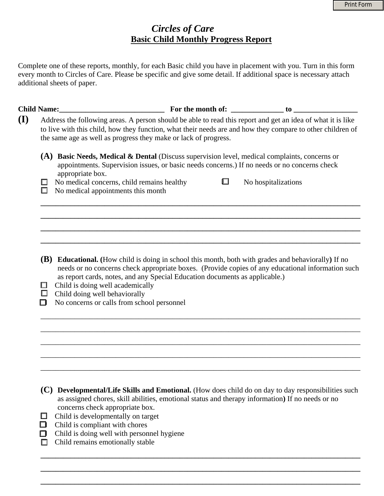# *Circles of Care*   **Basic Child Monthly Progress Report**

Complete one of these reports, monthly, for each Basic child you have in placement with you. Turn in this form every month to Circles of Care. Please be specific and give some detail. If additional space is necessary attach additional sheets of paper.

| (I)                                                                                             | Address the following areas. A person should be able to read this report and get an idea of what it is like<br>to live with this child, how they function, what their needs are and how they compare to other children of<br>the same age as well as progress they make or lack of progress. |   |                                                                                                                                                                                                          |  |  |  |  |
|-------------------------------------------------------------------------------------------------|----------------------------------------------------------------------------------------------------------------------------------------------------------------------------------------------------------------------------------------------------------------------------------------------|---|----------------------------------------------------------------------------------------------------------------------------------------------------------------------------------------------------------|--|--|--|--|
| appropriate box.                                                                                | (A) Basic Needs, Medical & Dental (Discuss supervision level, medical complaints, concerns or<br>appointments. Supervision issues, or basic needs concerns.) If no needs or no concerns check                                                                                                |   |                                                                                                                                                                                                          |  |  |  |  |
| No medical concerns, child remains healthy<br>$\Box$<br>No medical appointments this month<br>□ |                                                                                                                                                                                                                                                                                              | L | No hospitalizations                                                                                                                                                                                      |  |  |  |  |
|                                                                                                 |                                                                                                                                                                                                                                                                                              |   |                                                                                                                                                                                                          |  |  |  |  |
|                                                                                                 |                                                                                                                                                                                                                                                                                              |   |                                                                                                                                                                                                          |  |  |  |  |
| Child is doing well academically<br>ш                                                           | as report cards, notes, and any Special Education documents as applicable.)                                                                                                                                                                                                                  |   | (B) Educational. (How child is doing in school this month, both with grades and behaviorally) If no<br>needs or no concerns check appropriate boxes. (Provide copies of any educational information such |  |  |  |  |
| $\Box$<br>Child doing well behaviorally<br>No concerns or calls from school personnel<br>П      |                                                                                                                                                                                                                                                                                              |   |                                                                                                                                                                                                          |  |  |  |  |
|                                                                                                 |                                                                                                                                                                                                                                                                                              |   |                                                                                                                                                                                                          |  |  |  |  |
|                                                                                                 |                                                                                                                                                                                                                                                                                              |   |                                                                                                                                                                                                          |  |  |  |  |
|                                                                                                 |                                                                                                                                                                                                                                                                                              |   |                                                                                                                                                                                                          |  |  |  |  |

**(C) Developmental/Life Skills and Emotional.** (How does child do on day to day responsibilities such as assigned chores, skill abilities, emotional status and therapy information**)** If no needs or no concerns check appropriate box.

**\_\_\_\_\_\_\_\_\_\_\_\_\_\_\_\_\_\_\_\_\_\_\_\_\_\_\_\_\_\_\_\_\_\_\_\_\_\_\_\_\_\_\_\_\_\_\_\_\_\_\_\_\_\_\_\_\_\_\_\_\_\_\_\_\_\_\_\_\_\_\_\_\_\_\_\_\_\_\_\_\_\_\_\_\_**

**\_\_\_\_\_\_\_\_\_\_\_\_\_\_\_\_\_\_\_\_\_\_\_\_\_\_\_\_\_\_\_\_\_\_\_\_\_\_\_\_\_\_\_\_\_\_\_\_\_\_\_\_\_\_\_\_\_\_\_\_\_\_\_\_\_\_\_\_\_\_\_\_\_\_\_\_\_\_\_\_\_\_\_\_\_**

**\_\_\_\_\_\_\_\_\_\_\_\_\_\_\_\_\_\_\_\_\_\_\_\_\_\_\_\_\_\_\_\_\_\_\_\_\_\_\_\_\_\_\_\_\_\_\_\_\_\_\_\_\_\_\_\_\_\_\_\_\_\_\_\_\_\_\_\_\_\_\_\_\_\_\_\_\_\_\_\_\_\_\_\_\_**

\_\_\_\_\_\_\_\_\_\_\_\_\_\_\_\_\_\_\_\_\_\_\_\_\_\_\_\_\_\_\_\_\_\_\_\_\_\_\_\_\_\_\_\_\_\_\_\_\_\_\_\_\_\_\_\_\_\_\_\_\_\_\_\_\_\_\_\_\_\_\_\_\_\_\_\_\_\_\_\_\_\_\_\_\_

- $\Box$  Child is developmentally on target
- $\Box$  Child is compliant with chores
- $\Box$  Child is doing well with personnel hygiene
- $\Box$  Child remains emotionally stable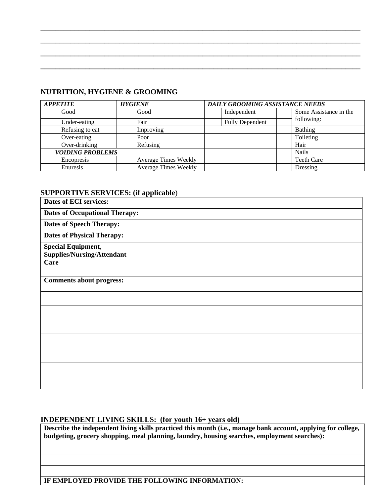### **NUTRITION, HYGIENE & GROOMING**

| <b>APPETITE</b>         | <b>HYGIENE</b>              | DAILY GROOMING ASSISTANCE NEEDS |                        |
|-------------------------|-----------------------------|---------------------------------|------------------------|
| Good                    | Good                        | Independent                     | Some Assistance in the |
| Under-eating            | Fair                        | <b>Fully Dependent</b>          | following:             |
| Refusing to eat         | Improving                   |                                 | <b>Bathing</b>         |
| Over-eating             | Poor                        |                                 | Toileting              |
| Over-drinking           | Refusing                    |                                 | Hair                   |
| <b>VOIDING PROBLEMS</b> |                             |                                 | <b>Nails</b>           |
| Encopresis              | <b>Average Times Weekly</b> |                                 | <b>Teeth Care</b>      |
| Enuresis                | <b>Average Times Weekly</b> |                                 | Dressing               |

**\_\_\_\_\_\_\_\_\_\_\_\_\_\_\_\_\_\_\_\_\_\_\_\_\_\_\_\_\_\_\_\_\_\_\_\_\_\_\_\_\_\_\_\_\_\_\_\_\_\_\_\_\_\_\_\_\_\_\_\_\_\_\_\_\_\_\_\_\_\_\_\_\_\_\_\_\_\_\_\_\_\_\_\_\_**

**\_\_\_\_\_\_\_\_\_\_\_\_\_\_\_\_\_\_\_\_\_\_\_\_\_\_\_\_\_\_\_\_\_\_\_\_\_\_\_\_\_\_\_\_\_\_\_\_\_\_\_\_\_\_\_\_\_\_\_\_\_\_\_\_\_\_\_\_\_\_\_\_\_\_\_\_\_\_\_\_\_\_\_\_\_**

**\_\_\_\_\_\_\_\_\_\_\_\_\_\_\_\_\_\_\_\_\_\_\_\_\_\_\_\_\_\_\_\_\_\_\_\_\_\_\_\_\_\_\_\_\_\_\_\_\_\_\_\_\_\_\_\_\_\_\_\_\_\_\_\_\_\_\_\_\_\_\_\_\_\_\_\_\_\_\_\_\_\_\_\_\_**

**\_\_\_\_\_\_\_\_\_\_\_\_\_\_\_\_\_\_\_\_\_\_\_\_\_\_\_\_\_\_\_\_\_\_\_\_\_\_\_\_\_\_\_\_\_\_\_\_\_\_\_\_\_\_\_\_\_\_\_\_\_\_\_\_\_\_\_\_\_\_\_\_\_\_\_\_\_\_\_\_\_\_\_\_\_** 

# **SUPPORTIVE SERVICES: (if applicable**)

| <b>Dates of ECI services:</b>                                          |  |
|------------------------------------------------------------------------|--|
| <b>Dates of Occupational Therapy:</b>                                  |  |
| <b>Dates of Speech Therapy:</b>                                        |  |
| <b>Dates of Physical Therapy:</b>                                      |  |
| <b>Special Equipment,</b><br><b>Supplies/Nursing/Attendant</b><br>Care |  |
| <b>Comments about progress:</b>                                        |  |
|                                                                        |  |
|                                                                        |  |
|                                                                        |  |
|                                                                        |  |
|                                                                        |  |
|                                                                        |  |
|                                                                        |  |

### **INDEPENDENT LIVING SKILLS: (for youth 16+ years old)**

**Describe the independent living skills practiced this month (i.e., manage bank account, applying for college, budgeting, grocery shopping, meal planning, laundry, housing searches, employment searches):**

**IF EMPLOYED PROVIDE THE FOLLOWING INFORMATION:**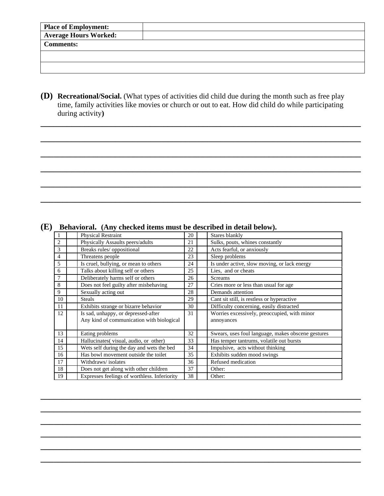| Place of Employment:         |  |  |  |
|------------------------------|--|--|--|
| <b>Average Hours Worked:</b> |  |  |  |
| <b>Comments:</b>             |  |  |  |
|                              |  |  |  |
|                              |  |  |  |
|                              |  |  |  |

**(D) Recreational/Social.** (What types of activities did child due during the month such as free play time, family activities like movies or church or out to eat. How did child do while participating during activity**)**

**\_\_\_\_\_\_\_\_\_\_\_\_\_\_\_\_\_\_\_\_\_\_\_\_\_\_\_\_\_\_\_\_\_\_\_\_\_\_\_\_\_\_\_\_\_\_\_\_\_\_\_\_\_\_\_\_\_\_\_\_\_\_\_\_\_\_\_\_\_\_\_\_\_**

**\_\_\_\_\_\_\_\_\_\_\_\_\_\_\_\_\_\_\_\_\_\_\_\_\_\_\_\_\_\_\_\_\_\_\_\_\_\_\_\_\_\_\_\_\_\_\_\_\_\_\_\_\_\_\_\_\_\_\_\_\_\_\_\_\_\_\_\_\_\_\_\_\_**

**\_\_\_\_\_\_\_\_\_\_\_\_\_\_\_\_\_\_\_\_\_\_\_\_\_\_\_\_\_\_\_\_\_\_\_\_\_\_\_\_\_\_\_\_\_\_\_\_\_\_\_\_\_\_\_\_\_\_\_\_\_\_\_\_\_\_\_\_\_\_\_\_\_** 

**\_\_\_\_\_\_\_\_\_\_\_\_\_\_\_\_\_\_\_\_\_\_\_\_\_\_\_\_\_\_\_\_\_\_\_\_\_\_\_\_\_\_\_\_\_\_\_\_\_\_\_\_\_\_\_\_\_\_\_\_\_\_\_\_\_\_\_\_\_\_\_\_\_**

**\_\_\_\_\_\_\_\_\_\_\_\_\_\_\_\_\_\_\_\_\_\_\_\_\_\_\_\_\_\_\_\_\_\_\_\_\_\_\_\_\_\_\_\_\_\_\_\_\_\_\_\_\_\_\_\_\_\_\_\_\_\_\_\_\_\_\_\_\_\_\_\_\_**

**\_\_\_\_\_\_\_\_\_\_\_\_\_\_\_\_\_\_\_\_\_\_\_\_\_\_\_\_\_\_\_\_\_\_\_\_\_\_\_\_\_\_\_\_\_\_\_\_\_\_\_\_\_\_\_\_\_\_\_\_\_\_\_\_\_\_\_\_\_\_\_\_\_** 

| 1              | <b>Physical Restraint</b>                    | 20 | Stares blankly                                     |
|----------------|----------------------------------------------|----|----------------------------------------------------|
| $\overline{c}$ | Physically Assaults peers/adults             | 21 | Sulks, pouts, whines constantly                    |
| 3              | Breaks rules/ oppositional                   | 22 | Acts fearful, or anxiously                         |
| 4              | Threatens people                             | 23 | Sleep problems                                     |
| 5              | Is cruel, bullying, or mean to others        | 24 | Is under active, slow moving, or lack energy       |
| 6              | Talks about killing self or others           | 25 | Lies, and or cheats                                |
| 7              | Deliberately harms self or others            | 26 | <b>Screams</b>                                     |
| 8              | Does not feel guilty after misbehaving       | 27 | Cries more or less than usual for age.             |
| 9              | Sexually acting out                          | 28 | Demands attention                                  |
| 10             | <b>Steals</b>                                | 29 | Cant sit still, is restless or hyperactive         |
| 11             | Exhibits strange or bizarre behavior         | 30 | Difficulty concerning, easily distracted           |
| 12             | Is sad, unhappy, or depressed-after          | 31 | Worries excessively, preoccupied, with minor       |
|                | Any kind of communication with biological    |    | annoyances                                         |
| 13             | Eating problems                              | 32 | Swears, uses foul language, makes obscene gestures |
| 14             | Hallucinates(visual, audio, or other)        | 33 | Has temper tantrums, volatile out bursts           |
| 15             | Wets self during the day and wets the bed    | 34 | Impulsive, acts without thinking                   |
| 16             | Has bowl movement outside the toilet         | 35 | Exhibits sudden mood swings                        |
| 17             | Withdraws/isolates                           | 36 | Refused medication                                 |
| 18             | Does not get along with other children       | 37 | Other:                                             |
| 19             | Expresses feelings of worthless. Inferiority | 38 | Other:                                             |

**\_\_\_\_\_\_\_\_\_\_\_\_\_\_\_\_\_\_\_\_\_\_\_\_\_\_\_\_\_\_\_\_\_\_\_\_\_\_\_\_\_\_\_\_\_\_\_\_\_\_\_\_\_\_\_\_\_\_\_\_\_\_\_\_\_\_\_\_\_\_\_\_\_**

**\_\_\_\_\_\_\_\_\_\_\_\_\_\_\_\_\_\_\_\_\_\_\_\_\_\_\_\_\_\_\_\_\_\_\_\_\_\_\_\_\_\_\_\_\_\_\_\_\_\_\_\_\_\_\_\_\_\_\_\_\_\_\_\_\_\_\_\_\_\_\_\_\_**

**\_\_\_\_\_\_\_\_\_\_\_\_\_\_\_\_\_\_\_\_\_\_\_\_\_\_\_\_\_\_\_\_\_\_\_\_\_\_\_\_\_\_\_\_\_\_\_\_\_\_\_\_\_\_\_\_\_\_\_\_\_\_\_\_\_\_\_\_\_\_\_\_\_** 

**\_\_\_\_\_\_\_\_\_\_\_\_\_\_\_\_\_\_\_\_\_\_\_\_\_\_\_\_\_\_\_\_\_\_\_\_\_\_\_\_\_\_\_\_\_\_\_\_\_\_\_\_\_\_\_\_\_\_\_\_\_\_\_\_\_\_\_\_\_\_\_\_\_**

**\_\_\_\_\_\_\_\_\_\_\_\_\_\_\_\_\_\_\_\_\_\_\_\_\_\_\_\_\_\_\_\_\_\_\_\_\_\_\_\_\_\_\_\_\_\_\_\_\_\_\_\_\_\_\_\_\_\_\_\_\_\_\_\_\_\_\_\_\_\_\_\_\_**

**\_\_\_\_\_\_\_\_\_\_\_\_\_\_\_\_\_\_\_\_\_\_\_\_\_\_\_\_\_\_\_\_\_\_\_\_\_\_\_\_\_\_\_\_\_\_\_\_\_\_\_\_\_\_\_\_\_\_\_\_\_\_\_\_\_\_\_\_\_\_\_\_\_** 

#### **(E) Behavioral. (Any checked items must be described in detail below).**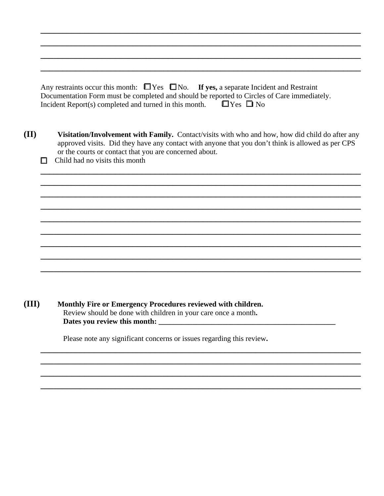| Any restraints occur this month: $\Box$ Yes $\Box$ No. If yes, a separate Incident and Restraint |  |
|--------------------------------------------------------------------------------------------------|--|
| Documentation Form must be completed and should be reported to Circles of Care immediately.      |  |
| $\Box$ Yes $\Box$ No<br>Incident Report(s) completed and turned in this month.                   |  |

**\_\_\_\_\_\_\_\_\_\_\_\_\_\_\_\_\_\_\_\_\_\_\_\_\_\_\_\_\_\_\_\_\_\_\_\_\_\_\_\_\_\_\_\_\_\_\_\_\_\_\_\_\_\_\_\_\_\_\_\_\_\_\_\_\_\_\_\_\_\_\_\_\_ \_\_\_\_\_\_\_\_\_\_\_\_\_\_\_\_\_\_\_\_\_\_\_\_\_\_\_\_\_\_\_\_\_\_\_\_\_\_\_\_\_\_\_\_\_\_\_\_\_\_\_\_\_\_\_\_\_\_\_\_\_\_\_\_\_\_\_\_\_\_\_\_\_**

**\_\_\_\_\_\_\_\_\_\_\_\_\_\_\_\_\_\_\_\_\_\_\_\_\_\_\_\_\_\_\_\_\_\_\_\_\_\_\_\_\_\_\_\_\_\_\_\_\_\_\_\_\_\_\_\_\_\_\_\_\_\_\_\_\_\_\_\_\_\_\_\_\_ \_\_\_\_\_\_\_\_\_\_\_\_\_\_\_\_\_\_\_\_\_\_\_\_\_\_\_\_\_\_\_\_\_\_\_\_\_\_\_\_\_\_\_\_\_\_\_\_\_\_\_\_\_\_\_\_\_\_\_\_\_\_\_\_\_\_\_\_\_\_\_\_\_** 

**(II) Visitation/Involvement with Family.** Contact/visits with who and how, how did child do after any approved visits. Did they have any contact with anyone that you don't think is allowed as per CPS or the courts or contact that you are concerned about.

**\_\_\_\_\_\_\_\_\_\_\_\_\_\_\_\_\_\_\_\_\_\_\_\_\_\_\_\_\_\_\_\_\_\_\_\_\_\_\_\_\_\_\_\_\_\_\_\_\_\_\_\_\_\_\_\_\_\_\_\_\_\_\_\_\_\_\_\_\_\_\_\_\_ \_\_\_\_\_\_\_\_\_\_\_\_\_\_\_\_\_\_\_\_\_\_\_\_\_\_\_\_\_\_\_\_\_\_\_\_\_\_\_\_\_\_\_\_\_\_\_\_\_\_\_\_\_\_\_\_\_\_\_\_\_\_\_\_\_\_\_\_\_\_\_\_\_ \_\_\_\_\_\_\_\_\_\_\_\_\_\_\_\_\_\_\_\_\_\_\_\_\_\_\_\_\_\_\_\_\_\_\_\_\_\_\_\_\_\_\_\_\_\_\_\_\_\_\_\_\_\_\_\_\_\_\_\_\_\_\_\_\_\_\_\_\_\_\_\_\_ \_\_\_\_\_\_\_\_\_\_\_\_\_\_\_\_\_\_\_\_\_\_\_\_\_\_\_\_\_\_\_\_\_\_\_\_\_\_\_\_\_\_\_\_\_\_\_\_\_\_\_\_\_\_\_\_\_\_\_\_\_\_\_\_\_\_\_\_\_\_\_\_\_**

**\_\_\_\_\_\_\_\_\_\_\_\_\_\_\_\_\_\_\_\_\_\_\_\_\_\_\_\_\_\_\_\_\_\_\_\_\_\_\_\_\_\_\_\_\_\_\_\_\_\_\_\_\_\_\_\_\_\_\_\_\_\_\_\_\_\_\_\_\_\_\_\_\_**

**\_\_\_\_\_\_\_\_\_\_\_\_\_\_\_\_\_\_\_\_\_\_\_\_\_\_\_\_\_\_\_\_\_\_\_\_\_\_\_\_\_\_\_\_\_\_\_\_\_\_\_\_\_\_\_\_\_\_\_\_\_\_\_\_\_\_\_\_\_\_\_\_\_** 

**\_\_\_\_\_\_\_\_\_\_\_\_\_\_\_\_\_\_\_\_\_\_\_\_\_\_\_\_\_\_\_\_\_\_\_\_\_\_\_\_\_\_\_\_\_\_\_\_\_\_\_\_\_\_\_\_\_\_\_\_\_\_\_\_\_\_\_\_\_\_\_\_\_**

**\_\_\_\_\_\_\_\_\_\_\_\_\_\_\_\_\_\_\_\_\_\_\_\_\_\_\_\_\_\_\_\_\_\_\_\_\_\_\_\_\_\_\_\_\_\_\_\_\_\_\_\_\_\_\_\_\_\_\_\_\_\_\_\_\_\_\_\_\_\_\_\_\_**

**\_\_\_\_\_\_\_\_\_\_\_\_\_\_\_\_\_\_\_\_\_\_\_\_\_\_\_\_\_\_\_\_\_\_\_\_\_\_\_\_\_\_\_\_\_\_\_\_\_\_\_\_\_\_\_\_\_\_\_\_\_\_\_\_\_\_\_\_\_\_\_\_\_** 

**\_\_\_\_\_\_\_\_\_\_\_\_\_\_\_\_\_\_\_\_\_\_\_\_\_\_\_\_\_\_\_\_\_\_\_\_\_\_\_\_\_\_\_\_\_\_\_\_\_\_\_\_\_\_\_\_\_\_\_\_\_\_\_\_\_\_\_\_\_\_\_\_\_ \_\_\_\_\_\_\_\_\_\_\_\_\_\_\_\_\_\_\_\_\_\_\_\_\_\_\_\_\_\_\_\_\_\_\_\_\_\_\_\_\_\_\_\_\_\_\_\_\_\_\_\_\_\_\_\_\_\_\_\_\_\_\_\_\_\_\_\_\_\_\_\_\_ \_\_\_\_\_\_\_\_\_\_\_\_\_\_\_\_\_\_\_\_\_\_\_\_\_\_\_\_\_\_\_\_\_\_\_\_\_\_\_\_\_\_\_\_\_\_\_\_\_\_\_\_\_\_\_\_\_\_\_\_\_\_\_\_\_\_\_\_\_\_\_\_\_**

**\_\_\_\_\_\_\_\_\_\_\_\_\_\_\_\_\_\_\_\_\_\_\_\_\_\_\_\_\_\_\_\_\_\_\_\_\_\_\_\_\_\_\_\_\_\_\_\_\_\_\_\_\_\_\_\_\_\_\_\_\_\_\_\_\_\_\_\_\_\_\_\_\_** 

 $\Box$  Child had no visits this month

**(III) Monthly Fire or Emergency Procedures reviewed with children.**  Review should be done with children in your care once a month**. Dates you review this month: \_\_\_\_\_\_\_\_\_\_\_\_\_\_\_\_\_\_\_\_\_\_\_\_\_\_\_\_\_\_\_\_\_\_\_\_\_\_\_\_\_\_\_\_\_\_\_** 

Please note any significant concerns or issues regarding this review**.**